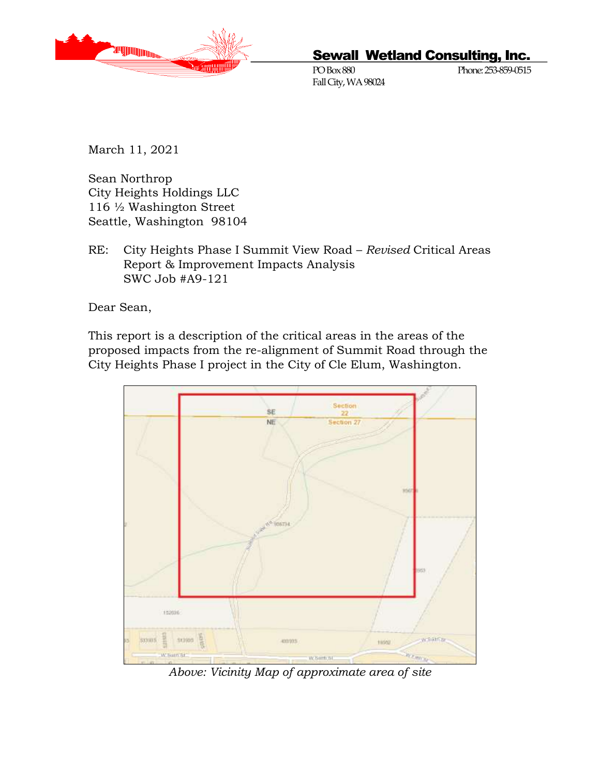

# Sewall Wetland Consulting, Inc.

PO Box 880 Phone: 253-859-0515 Fall City, WA 98024

March 11, 2021

Sean Northrop City Heights Holdings LLC 116 ½ Washington Street Seattle, Washington 98104

RE: City Heights Phase I Summit View Road – *Revised* Critical Areas Report & Improvement Impacts Analysis SWC Job #A9-121

Dear Sean,

This report is a description of the critical areas in the areas of the proposed impacts from the re-alignment of Summit Road through the City Heights Phase I project in the City of Cle Elum, Washington.



*Above: Vicinity Map of approximate area of site*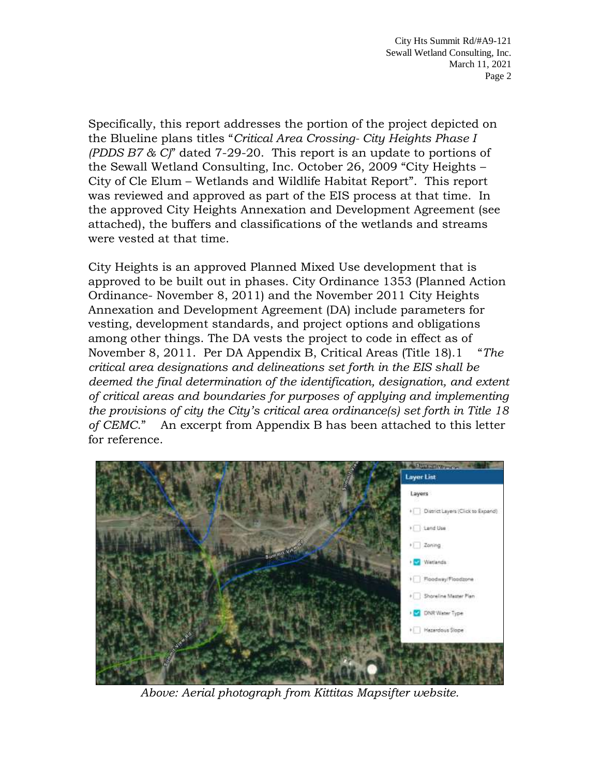Specifically, this report addresses the portion of the project depicted on the Blueline plans titles "*Critical Area Crossing- City Heights Phase I (PDDS B7 & C)*" dated 7-29-20. This report is an update to portions of the Sewall Wetland Consulting, Inc. October 26, 2009 "City Heights – City of Cle Elum – Wetlands and Wildlife Habitat Report". This report was reviewed and approved as part of the EIS process at that time. In the approved City Heights Annexation and Development Agreement (see attached), the buffers and classifications of the wetlands and streams were vested at that time.

City Heights is an approved Planned Mixed Use development that is approved to be built out in phases. City Ordinance 1353 (Planned Action Ordinance- November 8, 2011) and the November 2011 City Heights Annexation and Development Agreement (DA) include parameters for vesting, development standards, and project options and obligations among other things. The DA vests the project to code in effect as of November 8, 2011. Per DA Appendix B, Critical Areas (Title 18).1 "*The critical area designations and delineations set forth in the EIS shall be deemed the final determination of the identification, designation, and extent of critical areas and boundaries for purposes of applying and implementing the provisions of city the City's critical area ordinance(s) set forth in Title 18 of CEMC*." An excerpt from Appendix B has been attached to this letter for reference.



*Above: Aerial photograph from Kittitas Mapsifter website.*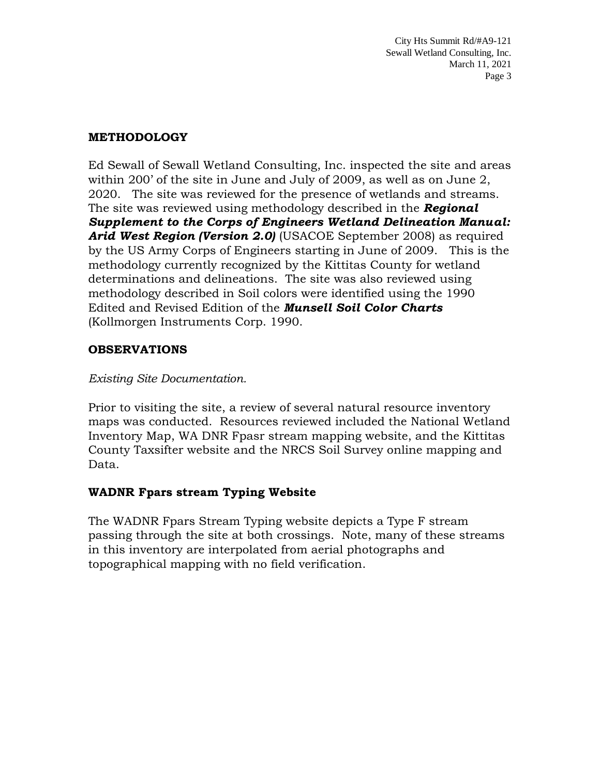#### **METHODOLOGY**

Ed Sewall of Sewall Wetland Consulting, Inc. inspected the site and areas within 200' of the site in June and July of 2009, as well as on June 2, 2020. The site was reviewed for the presence of wetlands and streams. The site was reviewed using methodology described in the *Regional Supplement to the Corps of Engineers Wetland Delineation Manual:*  Arid West Region (Version 2.0) (USACOE September 2008) as required by the US Army Corps of Engineers starting in June of 2009. This is the methodology currently recognized by the Kittitas County for wetland determinations and delineations. The site was also reviewed using methodology described in Soil colors were identified using the 1990 Edited and Revised Edition of the *Munsell Soil Color Charts* (Kollmorgen Instruments Corp. 1990.

#### **OBSERVATIONS**

#### *Existing Site Documentation.*

Prior to visiting the site, a review of several natural resource inventory maps was conducted. Resources reviewed included the National Wetland Inventory Map, WA DNR Fpasr stream mapping website, and the Kittitas County Taxsifter website and the NRCS Soil Survey online mapping and Data.

## **WADNR Fpars stream Typing Website**

The WADNR Fpars Stream Typing website depicts a Type F stream passing through the site at both crossings. Note, many of these streams in this inventory are interpolated from aerial photographs and topographical mapping with no field verification.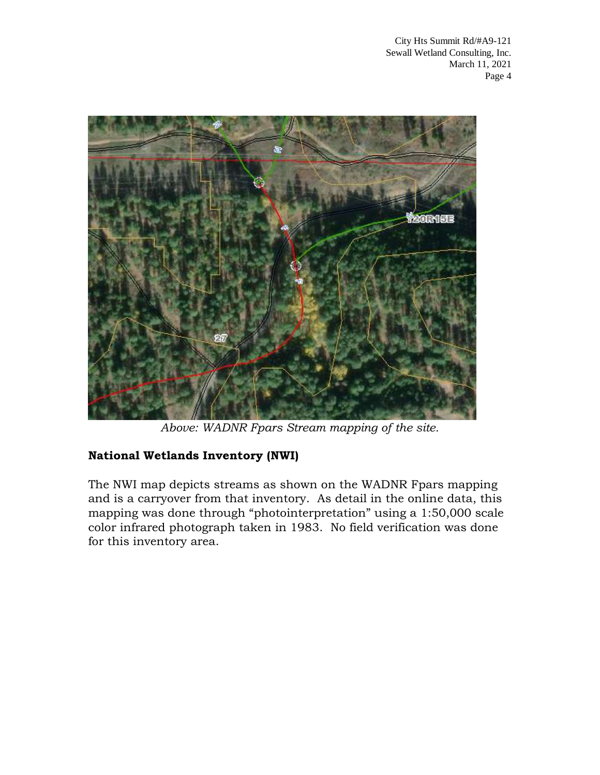

*Above: WADNR Fpars Stream mapping of the site.*

# **National Wetlands Inventory (NWI)**

The NWI map depicts streams as shown on the WADNR Fpars mapping and is a carryover from that inventory. As detail in the online data, this mapping was done through "photointerpretation" using a 1:50,000 scale color infrared photograph taken in 1983. No field verification was done for this inventory area.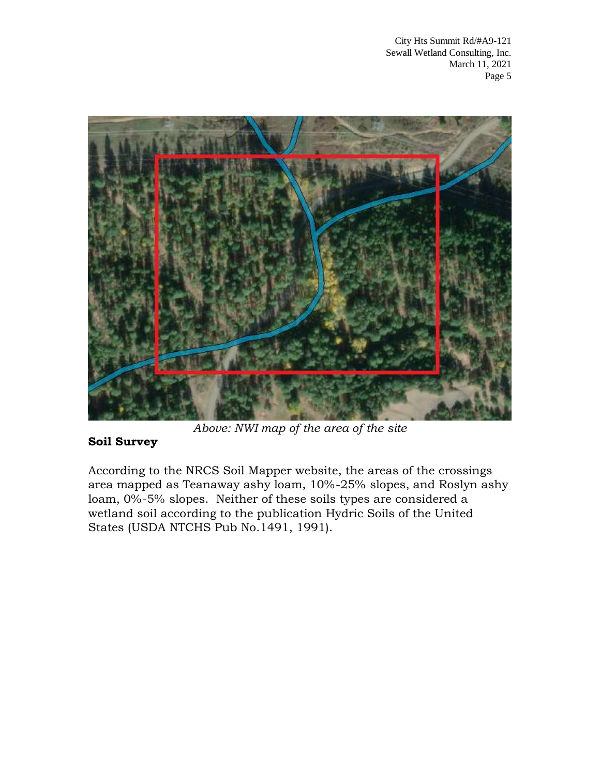

*Above: NWI map of the area of the site*

# **Soil Survey**

According to the NRCS Soil Mapper website, the areas of the crossings area mapped as Teanaway ashy loam, 10%-25% slopes, and Roslyn ashy loam, 0%-5% slopes. Neither of these soils types are considered a wetland soil according to the publication Hydric Soils of the United States (USDA NTCHS Pub No.1491, 1991).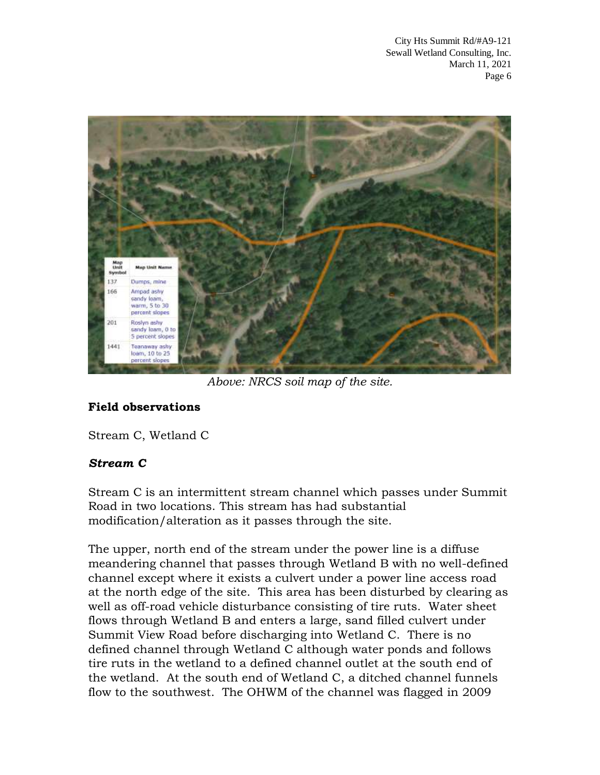

*Above: NRCS soil map of the site.*

## **Field observations**

Stream C, Wetland C

## *Stream C*

Stream C is an intermittent stream channel which passes under Summit Road in two locations. This stream has had substantial modification/alteration as it passes through the site.

The upper, north end of the stream under the power line is a diffuse meandering channel that passes through Wetland B with no well-defined channel except where it exists a culvert under a power line access road at the north edge of the site. This area has been disturbed by clearing as well as off-road vehicle disturbance consisting of tire ruts. Water sheet flows through Wetland B and enters a large, sand filled culvert under Summit View Road before discharging into Wetland C. There is no defined channel through Wetland C although water ponds and follows tire ruts in the wetland to a defined channel outlet at the south end of the wetland. At the south end of Wetland C, a ditched channel funnels flow to the southwest. The OHWM of the channel was flagged in 2009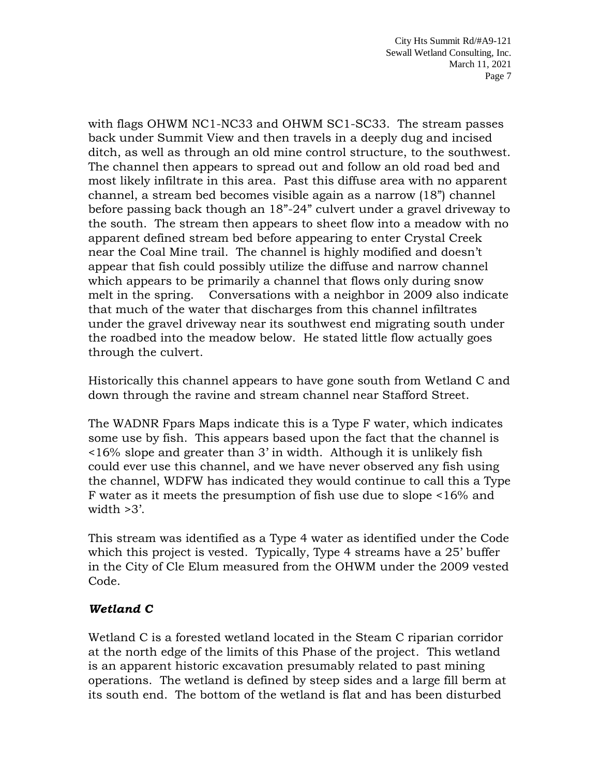with flags OHWM NC1-NC33 and OHWM SC1-SC33. The stream passes back under Summit View and then travels in a deeply dug and incised ditch, as well as through an old mine control structure, to the southwest. The channel then appears to spread out and follow an old road bed and most likely infiltrate in this area. Past this diffuse area with no apparent channel, a stream bed becomes visible again as a narrow (18") channel before passing back though an 18"-24" culvert under a gravel driveway to the south. The stream then appears to sheet flow into a meadow with no apparent defined stream bed before appearing to enter Crystal Creek near the Coal Mine trail. The channel is highly modified and doesn't appear that fish could possibly utilize the diffuse and narrow channel which appears to be primarily a channel that flows only during snow melt in the spring. Conversations with a neighbor in 2009 also indicate that much of the water that discharges from this channel infiltrates under the gravel driveway near its southwest end migrating south under the roadbed into the meadow below. He stated little flow actually goes through the culvert.

Historically this channel appears to have gone south from Wetland C and down through the ravine and stream channel near Stafford Street.

The WADNR Fpars Maps indicate this is a Type F water, which indicates some use by fish. This appears based upon the fact that the channel is <16% slope and greater than 3' in width. Although it is unlikely fish could ever use this channel, and we have never observed any fish using the channel, WDFW has indicated they would continue to call this a Type F water as it meets the presumption of fish use due to slope <16% and width  $>3'$ .

This stream was identified as a Type 4 water as identified under the Code which this project is vested. Typically, Type 4 streams have a 25' buffer in the City of Cle Elum measured from the OHWM under the 2009 vested Code.

# *Wetland C*

Wetland C is a forested wetland located in the Steam C riparian corridor at the north edge of the limits of this Phase of the project. This wetland is an apparent historic excavation presumably related to past mining operations. The wetland is defined by steep sides and a large fill berm at its south end. The bottom of the wetland is flat and has been disturbed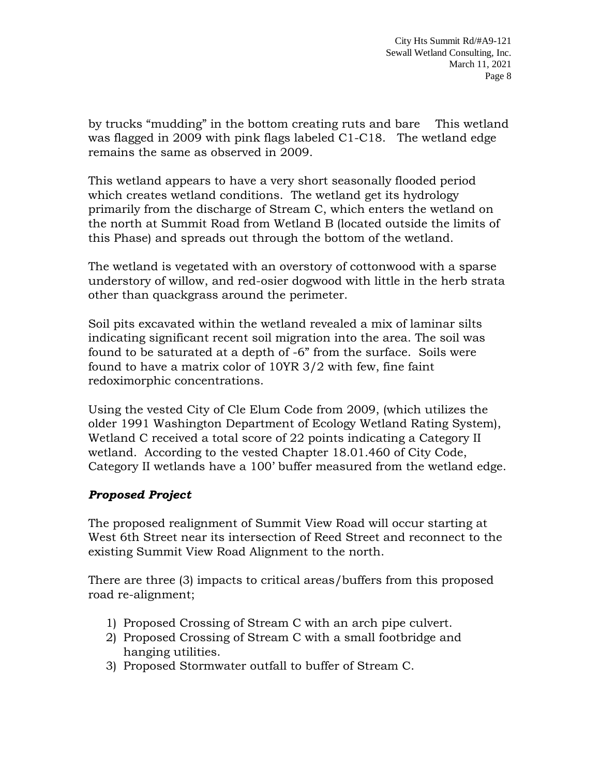by trucks "mudding" in the bottom creating ruts and bare This wetland was flagged in 2009 with pink flags labeled C1-C18. The wetland edge remains the same as observed in 2009.

This wetland appears to have a very short seasonally flooded period which creates wetland conditions. The wetland get its hydrology primarily from the discharge of Stream C, which enters the wetland on the north at Summit Road from Wetland B (located outside the limits of this Phase) and spreads out through the bottom of the wetland.

The wetland is vegetated with an overstory of cottonwood with a sparse understory of willow, and red-osier dogwood with little in the herb strata other than quackgrass around the perimeter.

Soil pits excavated within the wetland revealed a mix of laminar silts indicating significant recent soil migration into the area. The soil was found to be saturated at a depth of -6" from the surface. Soils were found to have a matrix color of 10YR 3/2 with few, fine faint redoximorphic concentrations.

Using the vested City of Cle Elum Code from 2009, (which utilizes the older 1991 Washington Department of Ecology Wetland Rating System), Wetland C received a total score of 22 points indicating a Category II wetland. According to the vested Chapter 18.01.460 of City Code, Category II wetlands have a 100' buffer measured from the wetland edge.

## *Proposed Project*

The proposed realignment of Summit View Road will occur starting at West 6th Street near its intersection of Reed Street and reconnect to the existing Summit View Road Alignment to the north.

There are three (3) impacts to critical areas/buffers from this proposed road re-alignment;

- 1) Proposed Crossing of Stream C with an arch pipe culvert.
- 2) Proposed Crossing of Stream C with a small footbridge and hanging utilities.
- 3) Proposed Stormwater outfall to buffer of Stream C.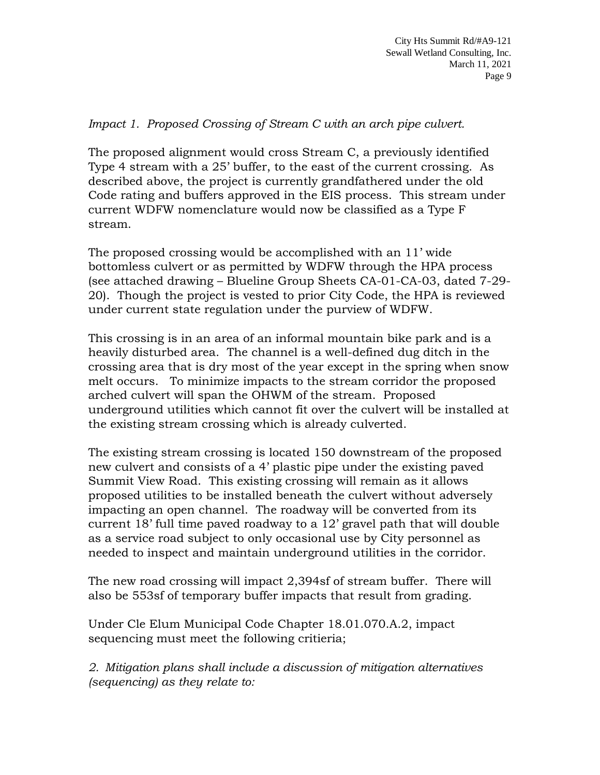#### *Impact 1. Proposed Crossing of Stream C with an arch pipe culvert.*

The proposed alignment would cross Stream C, a previously identified Type 4 stream with a 25' buffer, to the east of the current crossing. As described above, the project is currently grandfathered under the old Code rating and buffers approved in the EIS process. This stream under current WDFW nomenclature would now be classified as a Type F stream.

The proposed crossing would be accomplished with an 11' wide bottomless culvert or as permitted by WDFW through the HPA process (see attached drawing – Blueline Group Sheets CA-01-CA-03, dated 7-29- 20). Though the project is vested to prior City Code, the HPA is reviewed under current state regulation under the purview of WDFW.

This crossing is in an area of an informal mountain bike park and is a heavily disturbed area. The channel is a well-defined dug ditch in the crossing area that is dry most of the year except in the spring when snow melt occurs. To minimize impacts to the stream corridor the proposed arched culvert will span the OHWM of the stream. Proposed underground utilities which cannot fit over the culvert will be installed at the existing stream crossing which is already culverted.

The existing stream crossing is located 150 downstream of the proposed new culvert and consists of a 4' plastic pipe under the existing paved Summit View Road. This existing crossing will remain as it allows proposed utilities to be installed beneath the culvert without adversely impacting an open channel. The roadway will be converted from its current 18' full time paved roadway to a 12' gravel path that will double as a service road subject to only occasional use by City personnel as needed to inspect and maintain underground utilities in the corridor.

The new road crossing will impact 2,394sf of stream buffer. There will also be 553sf of temporary buffer impacts that result from grading.

Under Cle Elum Municipal Code Chapter 18.01.070.A.2, impact sequencing must meet the following critieria;

*2. Mitigation plans shall include a discussion of mitigation alternatives (sequencing) as they relate to:*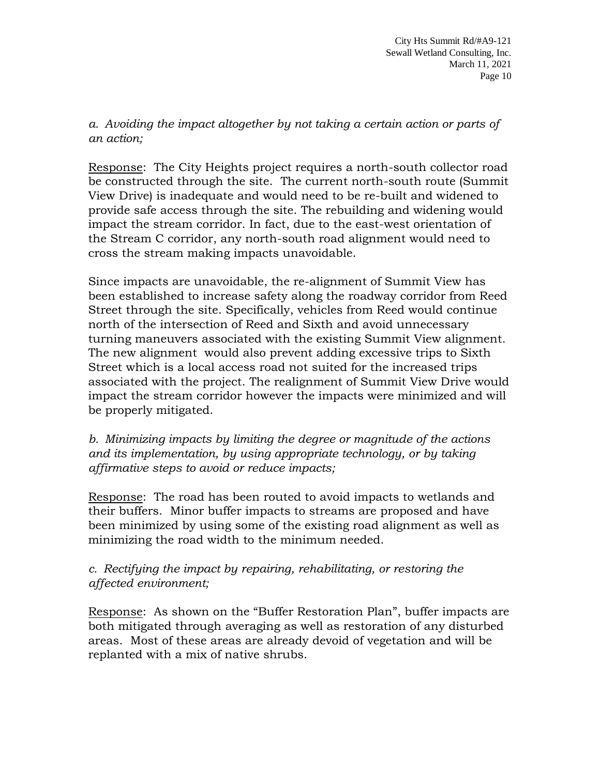*a. Avoiding the impact altogether by not taking a certain action or parts of an action;*

Response: The City Heights project requires a north-south collector road be constructed through the site. The current north-south route (Summit View Drive) is inadequate and would need to be re-built and widened to provide safe access through the site. The rebuilding and widening would impact the stream corridor. In fact, due to the east-west orientation of the Stream C corridor, any north-south road alignment would need to cross the stream making impacts unavoidable.

Since impacts are unavoidable, the re-alignment of Summit View has been established to increase safety along the roadway corridor from Reed Street through the site. Specifically, vehicles from Reed would continue north of the intersection of Reed and Sixth and avoid unnecessary turning maneuvers associated with the existing Summit View alignment. The new alignment would also prevent adding excessive trips to Sixth Street which is a local access road not suited for the increased trips associated with the project. The realignment of Summit View Drive would impact the stream corridor however the impacts were minimized and will be properly mitigated.

*b. Minimizing impacts by limiting the degree or magnitude of the actions and its implementation, by using appropriate technology, or by taking affirmative steps to avoid or reduce impacts;*

Response: The road has been routed to avoid impacts to wetlands and their buffers. Minor buffer impacts to streams are proposed and have been minimized by using some of the existing road alignment as well as minimizing the road width to the minimum needed.

## *c. Rectifying the impact by repairing, rehabilitating, or restoring the affected environment;*

Response: As shown on the "Buffer Restoration Plan", buffer impacts are both mitigated through averaging as well as restoration of any disturbed areas. Most of these areas are already devoid of vegetation and will be replanted with a mix of native shrubs.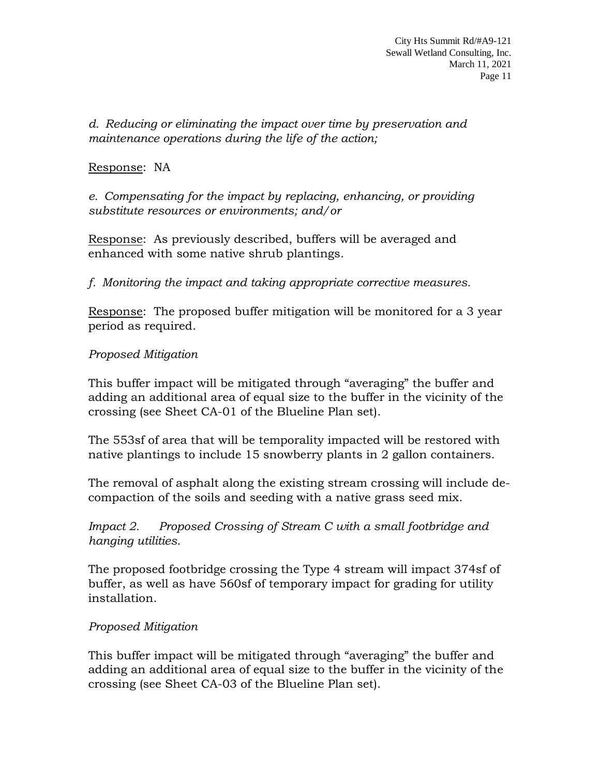*d. Reducing or eliminating the impact over time by preservation and maintenance operations during the life of the action;*

#### Response: NA

*e. Compensating for the impact by replacing, enhancing, or providing substitute resources or environments; and/or*

Response: As previously described, buffers will be averaged and enhanced with some native shrub plantings.

*f. Monitoring the impact and taking appropriate corrective measures.*

Response: The proposed buffer mitigation will be monitored for a 3 year period as required.

#### *Proposed Mitigation*

This buffer impact will be mitigated through "averaging" the buffer and adding an additional area of equal size to the buffer in the vicinity of the crossing (see Sheet CA-01 of the Blueline Plan set).

The 553sf of area that will be temporality impacted will be restored with native plantings to include 15 snowberry plants in 2 gallon containers.

The removal of asphalt along the existing stream crossing will include decompaction of the soils and seeding with a native grass seed mix.

*Impact 2. Proposed Crossing of Stream C with a small footbridge and hanging utilities.*

The proposed footbridge crossing the Type 4 stream will impact 374sf of buffer, as well as have 560sf of temporary impact for grading for utility installation.

#### *Proposed Mitigation*

This buffer impact will be mitigated through "averaging" the buffer and adding an additional area of equal size to the buffer in the vicinity of the crossing (see Sheet CA-03 of the Blueline Plan set).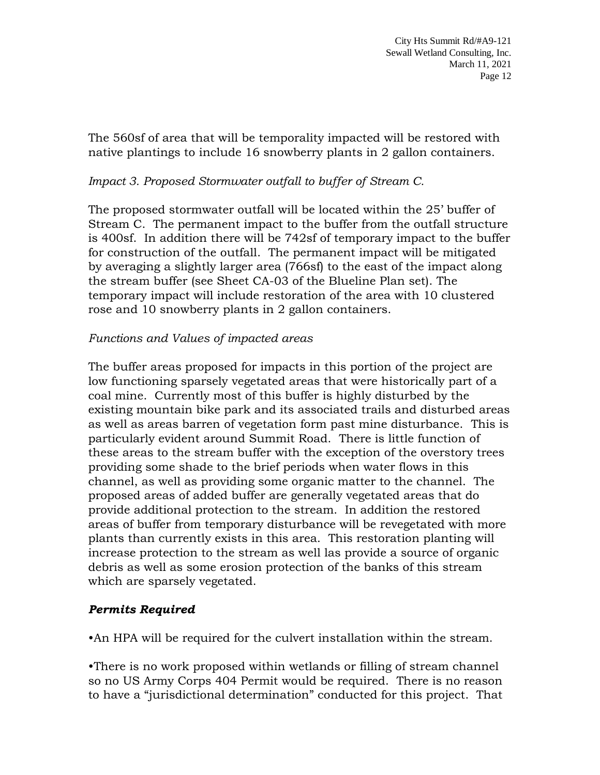The 560sf of area that will be temporality impacted will be restored with native plantings to include 16 snowberry plants in 2 gallon containers.

## *Impact 3. Proposed Stormwater outfall to buffer of Stream C.*

The proposed stormwater outfall will be located within the 25' buffer of Stream C. The permanent impact to the buffer from the outfall structure is 400sf. In addition there will be 742sf of temporary impact to the buffer for construction of the outfall. The permanent impact will be mitigated by averaging a slightly larger area (766sf) to the east of the impact along the stream buffer (see Sheet CA-03 of the Blueline Plan set). The temporary impact will include restoration of the area with 10 clustered rose and 10 snowberry plants in 2 gallon containers.

## *Functions and Values of impacted areas*

The buffer areas proposed for impacts in this portion of the project are low functioning sparsely vegetated areas that were historically part of a coal mine. Currently most of this buffer is highly disturbed by the existing mountain bike park and its associated trails and disturbed areas as well as areas barren of vegetation form past mine disturbance. This is particularly evident around Summit Road. There is little function of these areas to the stream buffer with the exception of the overstory trees providing some shade to the brief periods when water flows in this channel, as well as providing some organic matter to the channel. The proposed areas of added buffer are generally vegetated areas that do provide additional protection to the stream. In addition the restored areas of buffer from temporary disturbance will be revegetated with more plants than currently exists in this area. This restoration planting will increase protection to the stream as well las provide a source of organic debris as well as some erosion protection of the banks of this stream which are sparsely vegetated.

## *Permits Required*

•An HPA will be required for the culvert installation within the stream.

•There is no work proposed within wetlands or filling of stream channel so no US Army Corps 404 Permit would be required. There is no reason to have a "jurisdictional determination" conducted for this project. That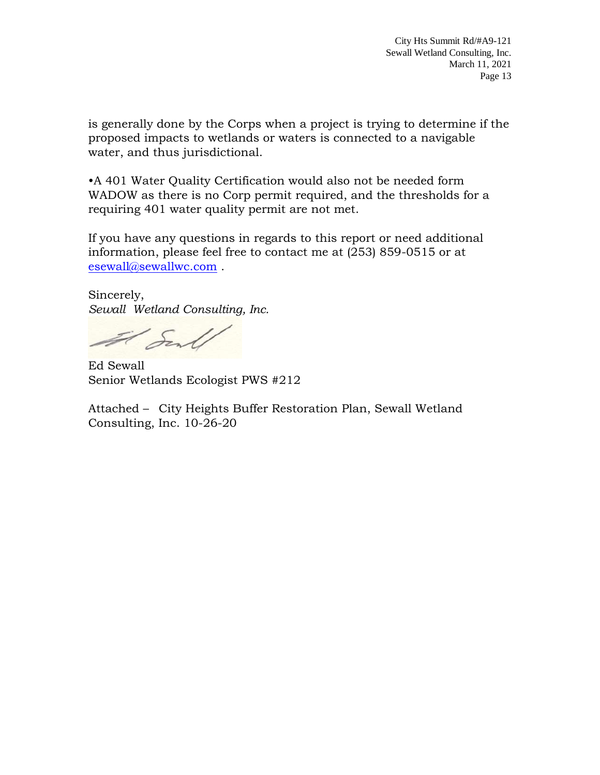is generally done by the Corps when a project is trying to determine if the proposed impacts to wetlands or waters is connected to a navigable water, and thus jurisdictional.

•A 401 Water Quality Certification would also not be needed form WADOW as there is no Corp permit required, and the thresholds for a requiring 401 water quality permit are not met.

If you have any questions in regards to this report or need additional information, please feel free to contact me at (253) 859-0515 or at [esewall@sewallwc.com](mailto:esewall@sewallwc.com) .

Sincerely, *Sewall Wetland Consulting, Inc.*

Il Senl

Ed Sewall Senior Wetlands Ecologist PWS #212

Attached – City Heights Buffer Restoration Plan, Sewall Wetland Consulting, Inc. 10-26-20